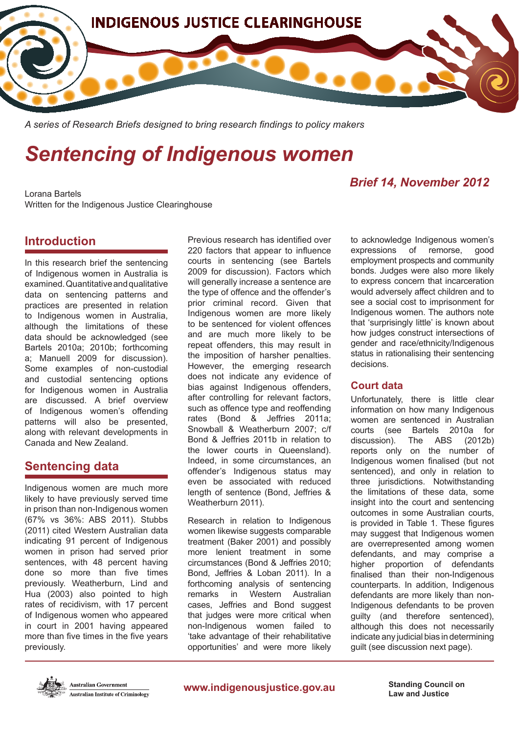

*A series of Research Briefs designed to bring research findings to policy makers*

# *Sentencing of Indigenous women*

# *Brief 14, November 2012*

Lorana Bartels Written for the Indigenous Justice Clearinghouse

## **Introduction**

In this research brief the sentencing of Indigenous women in Australia is examined. Quantitative and qualitative data on sentencing patterns and practices are presented in relation to Indigenous women in Australia, although the limitations of these data should be acknowledged (see Bartels 2010a; 2010b; forthcoming a; Manuell 2009 for discussion). Some examples of non-custodial and custodial sentencing options for Indigenous women in Australia are discussed. A brief overview of Indigenous women's offending patterns will also be presented, along with relevant developments in Canada and New Zealand.

# **Sentencing data**

Indigenous women are much more likely to have previously served time in prison than non-Indigenous women (67% vs 36%: ABS 2011). Stubbs (2011) cited Western Australian data indicating 91 percent of Indigenous women in prison had served prior sentences, with 48 percent having done so more than five times previously. Weatherburn, Lind and Hua (2003) also pointed to high rates of recidivism, with 17 percent of Indigenous women who appeared in court in 2001 having appeared more than five times in the five years previously.

Previous research has identified over 220 factors that appear to influence courts in sentencing (see Bartels 2009 for discussion). Factors which will generally increase a sentence are the type of offence and the offender's prior criminal record. Given that Indigenous women are more likely to be sentenced for violent offences and are much more likely to be repeat offenders, this may result in the imposition of harsher penalties. However, the emerging research does not indicate any evidence of bias against Indigenous offenders, after controlling for relevant factors, such as offence type and reoffending rates (Bond & Jeffries 2011a; Snowball & Weatherburn 2007; c/f Bond & Jeffries 2011b in relation to the lower courts in Queensland). Indeed, in some circumstances, an offender's Indigenous status may even be associated with reduced length of sentence (Bond, Jeffries & Weatherburn 2011).

Research in relation to Indigenous women likewise suggests comparable treatment (Baker 2001) and possibly more lenient treatment in some circumstances (Bond & Jeffries 2010; Bond, Jeffries & Loban 2011). In a forthcoming analysis of sentencing remarks in Western Australian cases, Jeffries and Bond suggest that judges were more critical when non-Indigenous women failed to 'take advantage of their rehabilitative opportunities' and were more likely

to acknowledge Indigenous women's expressions of remorse, good employment prospects and community bonds. Judges were also more likely to express concern that incarceration would adversely affect children and to see a social cost to imprisonment for Indigenous women. The authors note that 'surprisingly little' is known about how judges construct intersections of gender and race/ethnicity/Indigenous status in rationalising their sentencing decisions.

#### **Court data**

Unfortunately, there is little clear information on how many Indigenous women are sentenced in Australian courts (see Bartels 2010a for discussion). The ABS (2012b) reports only on the number of Indigenous women finalised (but not sentenced), and only in relation to three jurisdictions. Notwithstanding the limitations of these data, some insight into the court and sentencing outcomes in some Australian courts, is provided in Table 1. These figures may suggest that Indigenous women are overrepresented among women defendants, and may comprise a higher proportion of defendants finalised than their non-Indigenous counterparts. In addition, Indigenous defendants are more likely than non-Indigenous defendants to be proven guilty (and therefore sentenced), although this does not necessarily indicate any judicial bias in determining guilt (see discussion next page).



**Law and Justice**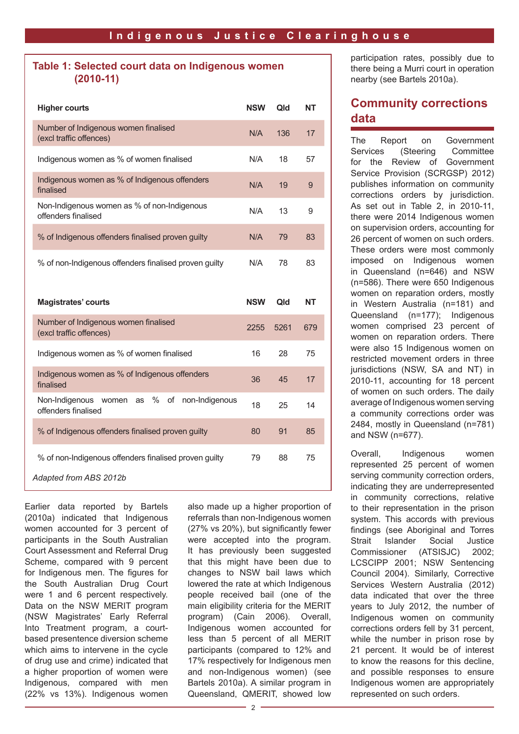#### **Table 1: Selected court data on Indigenous women (2010-11)**

| <b>Higher courts</b>                                                                 | <b>NSW</b> | Qld  | <b>NT</b> |
|--------------------------------------------------------------------------------------|------------|------|-----------|
| Number of Indigenous women finalised<br>(excl traffic offences)                      | N/A        | 136  | 17        |
| Indigenous women as % of women finalised                                             | N/A        | 18   | 57        |
| Indigenous women as % of Indigenous offenders<br>finalised                           | N/A        | 19   | 9         |
| Non-Indigenous women as % of non-Indigenous<br>offenders finalised                   | N/A        | 13   | 9         |
| % of Indigenous offenders finalised proven guilty                                    | N/A        | 79   | 83        |
| % of non-Indigenous offenders finalised proven guilty                                | N/A        | 78   | 83        |
|                                                                                      |            |      |           |
|                                                                                      |            |      |           |
| <b>Magistrates' courts</b>                                                           | <b>NSW</b> | Qld  | <b>NT</b> |
| Number of Indigenous women finalised<br>(excl traffic offences)                      | 2255       | 5261 | 679       |
| Indigenous women as % of women finalised                                             | 16         | 28   | 75        |
| Indigenous women as % of Indigenous offenders<br>finalised                           | 36         | 45   | 17        |
| Non-Indigenous<br>$\%$<br>of<br>non-Indigenous<br>women<br>as<br>offenders finalised | 18         | 25   | 14        |
| % of Indigenous offenders finalised proven guilty                                    | 80         | 91   | 85        |
| % of non-Indigenous offenders finalised proven guilty                                | 79         | 88   | 75        |

Earlier data reported by Bartels (2010a) indicated that Indigenous women accounted for 3 percent of participants in the South Australian Court Assessment and Referral Drug Scheme, compared with 9 percent for Indigenous men. The figures for the South Australian Drug Court were 1 and 6 percent respectively. Data on the NSW MERIT program (NSW Magistrates' Early Referral Into Treatment program, a courtbased presentence diversion scheme which aims to intervene in the cycle of drug use and crime) indicated that a higher proportion of women were Indigenous, compared with men (22% vs 13%). Indigenous women also made up a higher proportion of referrals than non-Indigenous women (27% vs 20%), but significantly fewer were accepted into the program. It has previously been suggested that this might have been due to changes to NSW bail laws which lowered the rate at which Indigenous people received bail (one of the main eligibility criteria for the MERIT program) (Cain 2006). Overall, Indigenous women accounted for less than 5 percent of all MERIT participants (compared to 12% and 17% respectively for Indigenous men and non-Indigenous women) (see Bartels 2010a). A similar program in Queensland, QMERIT, showed low participation rates, possibly due to there being a Murri court in operation nearby (see Bartels 2010a).

# **Community corrections data**

The Report on Government Services (Steering Committee for the Review of Government Service Provision (SCRGSP) 2012) publishes information on community corrections orders by jurisdiction. As set out in Table 2, in 2010-11, there were 2014 Indigenous women on supervision orders, accounting for 26 percent of women on such orders. These orders were most commonly imposed on Indigenous women in Queensland (n=646) and NSW (n=586). There were 650 Indigenous women on reparation orders, mostly in Western Australia (n=181) and Queensland (n=177); Indigenous women comprised 23 percent of women on reparation orders. There were also 15 Indigenous women on restricted movement orders in three jurisdictions (NSW, SA and NT) in 2010-11, accounting for 18 percent of women on such orders. The daily average of Indigenous women serving a community corrections order was 2484, mostly in Queensland (n=781) and NSW (n=677).

Overall, Indigenous women represented 25 percent of women serving community correction orders, indicating they are underrepresented in community corrections, relative to their representation in the prison system. This accords with previous findings (see Aboriginal and Torres Strait Islander Social Justice Commissioner (ATSISJC) 2002; LCSCIPP 2001; NSW Sentencing Council 2004). Similarly, Corrective Services Western Australia (2012) data indicated that over the three years to July 2012, the number of Indigenous women on community corrections orders fell by 31 percent, while the number in prison rose by 21 percent. It would be of interest to know the reasons for this decline, and possible responses to ensure Indigenous women are appropriately represented on such orders.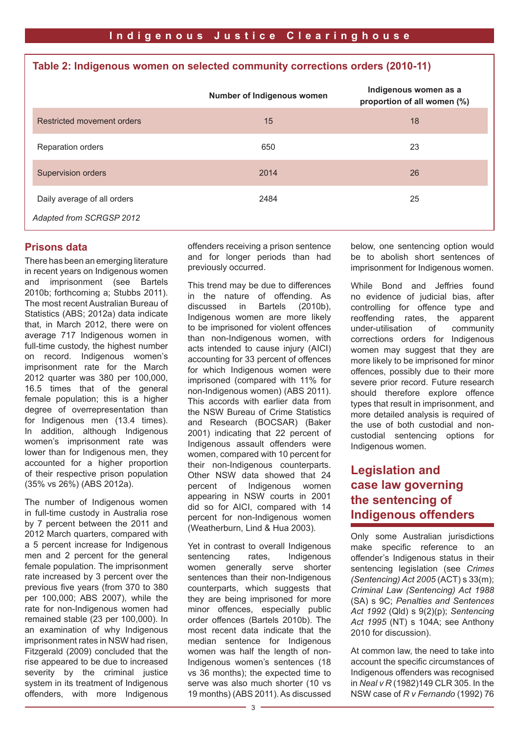## **Table 2: Indigenous women on selected community corrections orders (2010-11)**

|                                                         | Number of Indigenous women | Indigenous women as a<br>proportion of all women (%) |
|---------------------------------------------------------|----------------------------|------------------------------------------------------|
| Restricted movement orders                              | 15                         | 18                                                   |
| Reparation orders                                       | 650                        | 23                                                   |
| Supervision orders                                      | 2014                       | 26                                                   |
| Daily average of all orders<br>Adapted from SCRGSP 2012 | 2484                       | 25                                                   |

#### **Prisons data**

There has been an emerging literature in recent years on Indigenous women and imprisonment (see Bartels 2010b; forthcoming a; Stubbs 2011). The most recent Australian Bureau of Statistics (ABS; 2012a) data indicate that, in March 2012, there were on average 717 Indigenous women in full-time custody, the highest number on record. Indigenous women's imprisonment rate for the March 2012 quarter was 380 per 100,000, 16.5 times that of the general female population; this is a higher degree of overrepresentation than for Indigenous men (13.4 times). In addition, although Indigenous women's imprisonment rate was lower than for Indigenous men, they accounted for a higher proportion of their respective prison population (35% vs 26%) (ABS 2012a).

The number of Indigenous women in full-time custody in Australia rose by 7 percent between the 2011 and 2012 March quarters, compared with a 5 percent increase for Indigenous men and 2 percent for the general female population. The imprisonment rate increased by 3 percent over the previous five years (from 370 to 380 per 100,000; ABS 2007), while the rate for non-Indigenous women had remained stable (23 per 100,000). In an examination of why Indigenous imprisonment rates in NSW had risen, Fitzgerald (2009) concluded that the rise appeared to be due to increased severity by the criminal justice system in its treatment of Indigenous offenders, with more Indigenous offenders receiving a prison sentence and for longer periods than had previously occurred.

This trend may be due to differences in the nature of offending. As discussed in Bartels (2010b), Indigenous women are more likely to be imprisoned for violent offences than non-Indigenous women, with acts intended to cause injury (AICI) accounting for 33 percent of offences for which Indigenous women were imprisoned (compared with 11% for non-Indigenous women) (ABS 2011). This accords with earlier data from the NSW Bureau of Crime Statistics and Research (BOCSAR) (Baker 2001) indicating that 22 percent of Indigenous assault offenders were women, compared with 10 percent for their non-Indigenous counterparts. Other NSW data showed that 24 percent of Indigenous women appearing in NSW courts in 2001 did so for AICI, compared with 14 percent for non-Indigenous women (Weatherburn, Lind & Hua 2003).

Yet in contrast to overall Indigenous sentencing rates, Indigenous women generally serve shorter sentences than their non-Indigenous counterparts, which suggests that they are being imprisoned for more minor offences, especially public order offences (Bartels 2010b). The most recent data indicate that the median sentence for Indigenous women was half the length of non-Indigenous women's sentences (18 vs 36 months); the expected time to serve was also much shorter (10 vs 19 months) (ABS 2011). As discussed below, one sentencing option would be to abolish short sentences of imprisonment for Indigenous women.

While Bond and Jeffries found no evidence of judicial bias, after controlling for offence type and reoffending rates, the apparent under-utilisation of community corrections orders for Indigenous women may suggest that they are more likely to be imprisoned for minor offences, possibly due to their more severe prior record. Future research should therefore explore offence types that result in imprisonment, and more detailed analysis is required of the use of both custodial and noncustodial sentencing options for Indigenous women.

# **Legislation and case law governing the sentencing of Indigenous offenders**

Only some Australian jurisdictions make specific reference to an offender's Indigenous status in their sentencing legislation (see *Crimes (Sentencing) Act 2005* (ACT) s 33(m); *Criminal Law (Sentencing) Act 1988* (SA) s 9C; *Penalties and Sentences Act 1992* (Qld) s 9(2)(p); *Sentencing Act 1995* (NT) s 104A; see Anthony 2010 for discussion).

At common law, the need to take into account the specific circumstances of Indigenous offenders was recognised in *Neal v R* (1982)149 CLR 305. In the NSW case of *R v Fernando* (1992) 76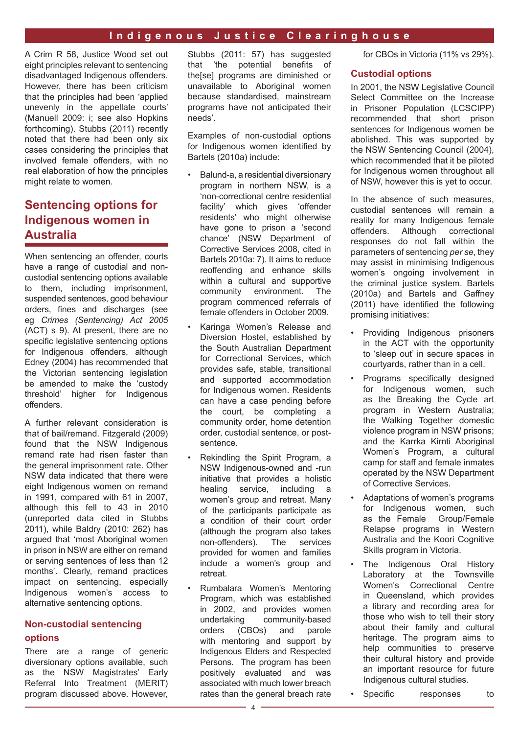A Crim R 58, Justice Wood set out eight principles relevant to sentencing disadvantaged Indigenous offenders. However, there has been criticism that the principles had been 'applied unevenly in the appellate courts' (Manuell 2009: i; see also Hopkins forthcoming). Stubbs (2011) recently noted that there had been only six cases considering the principles that involved female offenders, with no real elaboration of how the principles might relate to women.

# **Sentencing options for Indigenous women in Australia**

When sentencing an offender, courts have a range of custodial and noncustodial sentencing options available to them, including imprisonment, suspended sentences, good behaviour orders, fines and discharges (see eg *Crimes (Sentencing) Act 2005* (ACT) s 9). At present, there are no specific legislative sentencing options for Indigenous offenders, although Edney (2004) has recommended that the Victorian sentencing legislation be amended to make the 'custody threshold' higher for Indigenous offenders.

A further relevant consideration is that of bail/remand. Fitzgerald (2009) found that the NSW Indigenous remand rate had risen faster than the general imprisonment rate. Other NSW data indicated that there were eight Indigenous women on remand in 1991, compared with 61 in 2007, although this fell to 43 in 2010 (unreported data cited in Stubbs 2011), while Baldry (2010: 262) has argued that 'most Aboriginal women in prison in NSW are either on remand or serving sentences of less than 12 months'. Clearly, remand practices impact on sentencing, especially Indigenous women's access to alternative sentencing options.

## **Non-custodial sentencing options**

There are a range of generic diversionary options available, such as the NSW Magistrates' Early Referral Into Treatment (MERIT) program discussed above. However,

Stubbs (2011: 57) has suggested that 'the potential benefits of the[se] programs are diminished or unavailable to Aboriginal women because standardised, mainstream programs have not anticipated their needs'.

Examples of non-custodial options for Indigenous women identified by Bartels (2010a) include:

- Balund-a, a residential diversionary program in northern NSW, is a 'non-correctional centre residential facility' which gives 'offender residents' who might otherwise have gone to prison a 'second chance' (NSW Department of Corrective Services 2008, cited in Bartels 2010a: 7). It aims to reduce reoffending and enhance skills within a cultural and supportive community environment. The program commenced referrals of female offenders in October 2009.
- Karinga Women's Release and Diversion Hostel, established by the South Australian Department for Correctional Services, which provides safe, stable, transitional and supported accommodation for Indigenous women. Residents can have a case pending before the court, be completing a community order, home detention order, custodial sentence, or postsentence.
- Rekindling the Spirit Program, a NSW Indigenous-owned and -run initiative that provides a holistic healing service, including a women's group and retreat. Many of the participants participate as a condition of their court order (although the program also takes<br>non-offenders) The services non-offenders). provided for women and families include a women's group and retreat.
- Rumbalara Women's Mentoring Program, which was established in 2002, and provides women undertaking community-based orders (CBOs) and parole with mentoring and support by Indigenous Elders and Respected Persons. The program has been positively evaluated and was associated with much lower breach rates than the general breach rate

for CBOs in Victoria (11% vs 29%).

#### **Custodial options**

In 2001, the NSW Legislative Council Select Committee on the Increase in Prisoner Population (LCSCIPP) recommended that short prison sentences for Indigenous women be abolished. This was supported by the NSW Sentencing Council (2004), which recommended that it be piloted for Indigenous women throughout all of NSW, however this is yet to occur.

In the absence of such measures, custodial sentences will remain a reality for many Indigenous female offenders. Although correctional responses do not fall within the parameters of sentencing *per se*, they may assist in minimising Indigenous women's ongoing involvement in the criminal justice system. Bartels (2010a) and Bartels and Gaffney (2011) have identified the following promising initiatives:

- Providing Indigenous prisoners in the ACT with the opportunity to 'sleep out' in secure spaces in courtyards, rather than in a cell.
- Programs specifically designed for Indigenous women, such as the Breaking the Cycle art program in Western Australia; the Walking Together domestic violence program in NSW prisons; and the Karrka Kirnti Aboriginal Women's Program, a cultural camp for staff and female inmates operated by the NSW Department of Corrective Services.
- Adaptations of women's programs for Indigenous women, such as the Female Group/Female Relapse programs in Western Australia and the Koori Cognitive Skills program in Victoria.
- The Indigenous Oral History Laboratory at the Townsville Women's Correctional Centre in Queensland, which provides a library and recording area for those who wish to tell their story about their family and cultural heritage. The program aims to help communities to preserve their cultural history and provide an important resource for future Indigenous cultural studies.
- Specific responses to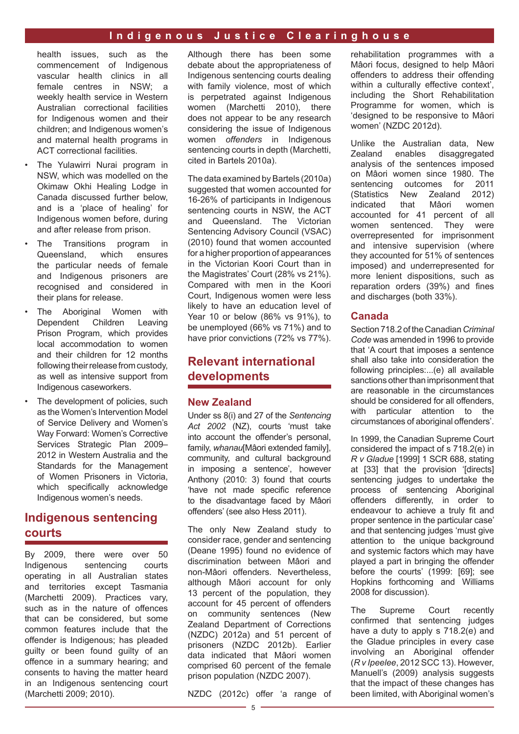health issues, such as the commencement of Indigenous vascular health clinics in all female centres in NSW; a weekly health service in Western Australian correctional facilities for Indigenous women and their children; and Indigenous women's and maternal health programs in ACT correctional facilities.

- The Yulawirri Nurai program in NSW, which was modelled on the Okimaw Okhi Healing Lodge in Canada discussed further below, and is a 'place of healing' for Indigenous women before, during and after release from prison.
- The Transitions program in Queensland, which ensures the particular needs of female and Indigenous prisoners are recognised and considered in their plans for release.
- The Aboriginal Women with Dependent Children Leaving Prison Program, which provides local accommodation to women and their children for 12 months following their release from custody, as well as intensive support from Indigenous caseworkers.
- The development of policies, such as the Women's Intervention Model of Service Delivery and Women's Way Forward: Women's Corrective Services Strategic Plan 2009– 2012 in Western Australia and the Standards for the Management of Women Prisoners in Victoria, which specifically acknowledge Indigenous women's needs.

# **Indigenous sentencing courts**

By 2009, there were over 50 Indigenous sentencing courts operating in all Australian states and territories except Tasmania (Marchetti 2009). Practices vary, such as in the nature of offences that can be considered, but some common features include that the offender is Indigenous; has pleaded guilty or been found guilty of an offence in a summary hearing; and consents to having the matter heard in an Indigenous sentencing court (Marchetti 2009; 2010).

Although there has been some debate about the appropriateness of Indigenous sentencing courts dealing with family violence, most of which is perpetrated against Indigenous women (Marchetti 2010), there does not appear to be any research considering the issue of Indigenous women *offenders* in Indigenous sentencing courts in depth (Marchetti, cited in Bartels 2010a).

The data examined by Bartels (2010a) suggested that women accounted for 16-26% of participants in Indigenous sentencing courts in NSW, the ACT and Queensland. The Victorian Sentencing Advisory Council (VSAC) (2010) found that women accounted for a higher proportion of appearances in the Victorian Koori Court than in the Magistrates' Court (28% vs 21%). Compared with men in the Koori Court, Indigenous women were less likely to have an education level of Year 10 or below (86% vs 91%), to be unemployed (66% vs 71%) and to have prior convictions (72% vs 77%).

# **Relevant international developments**

#### **New Zealand**

Under ss 8(i) and 27 of the *Sentencing Act 2002* (NZ), courts 'must take into account the offender's personal, family, *whanau*[Mâori extended family], community, and cultural background in imposing a sentence', however Anthony (2010: 3) found that courts 'have not made specific reference to the disadvantage faced by Mâori offenders' (see also Hess 2011).

The only New Zealand study to consider race, gender and sentencing (Deane 1995) found no evidence of discrimination between Mâori and non-Mâori offenders. Nevertheless, although Mâori account for only 13 percent of the population, they account for 45 percent of offenders on community sentences (New Zealand Department of Corrections (NZDC) 2012a) and 51 percent of prisoners (NZDC 2012b). Earlier data indicated that Mâori women comprised 60 percent of the female prison population (NZDC 2007).

NZDC (2012c) offer 'a range of

rehabilitation programmes with a Mâori focus, designed to help Mâori offenders to address their offending within a culturally effective context', including the Short Rehabilitation Programme for women, which is 'designed to be responsive to Mâori women' (NZDC 2012d).

Unlike the Australian data, New Zealand enables disaggregated analysis of the sentences imposed on Mâori women since 1980. The sentencing outcomes for 2011 (Statistics New Zealand 2012) indicated that Mâori women accounted for 41 percent of all women sentenced. They were overrepresented for imprisonment and intensive supervision (where they accounted for 51% of sentences imposed) and underrepresented for more lenient dispositions, such as reparation orders (39%) and fines and discharges (both 33%).

#### **Canada**

Section 718.2 of the Canadian *Criminal Code* was amended in 1996 to provide that 'A court that imposes a sentence shall also take into consideration the following principles:...(e) all available sanctions other than imprisonment that are reasonable in the circumstances should be considered for all offenders, with particular attention to the circumstances of aboriginal offenders'.

In 1999, the Canadian Supreme Court considered the impact of s 718.2(e) in *R v Gladue* [1999] 1 SCR 688, stating at [33] that the provision '[directs] sentencing judges to undertake the process of sentencing Aboriginal offenders differently, in order to endeavour to achieve a truly fit and proper sentence in the particular case' and that sentencing judges 'must give attention to the unique background and systemic factors which may have played a part in bringing the offender before the courts' (1999: [69]; see Hopkins forthcoming and Williams 2008 for discussion).

The Supreme Court recently confirmed that sentencing judges have a duty to apply s 718.2(e) and the Gladue principles in every case involving an Aboriginal offender (*R v Ipeelee*, 2012 SCC 13). However, Manuell's (2009) analysis suggests that the impact of these changes has been limited, with Aboriginal women's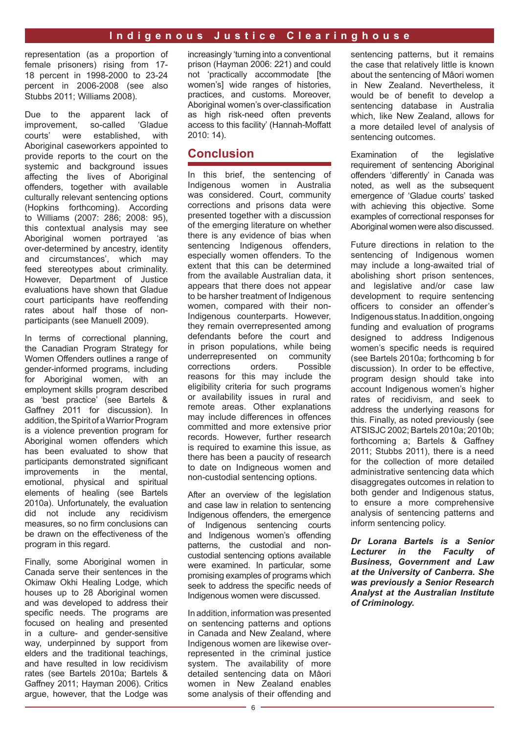representation (as a proportion of female prisoners) rising from 17- 18 percent in 1998-2000 to 23-24 percent in 2006-2008 (see also Stubbs 2011; Williams 2008).

Due to the apparent lack of improvement, so-called 'Gladue courts' were established, with Aboriginal caseworkers appointed to provide reports to the court on the systemic and background issues affecting the lives of Aboriginal offenders, together with available culturally relevant sentencing options (Hopkins forthcoming). According to Williams (2007: 286; 2008: 95), this contextual analysis may see Aboriginal women portrayed 'as over-determined by ancestry, identity and circumstances', which may feed stereotypes about criminality. However, Department of Justice evaluations have shown that Gladue court participants have reoffending rates about half those of nonparticipants (see Manuell 2009).

In terms of correctional planning, the Canadian Program Strategy for Women Offenders outlines a range of gender-informed programs, including for Aboriginal women, with an employment skills program described as 'best practice' (see Bartels & Gaffney 2011 for discussion). In addition, the Spirit of a Warrior Program is a violence prevention program for Aboriginal women offenders which has been evaluated to show that participants demonstrated significant improvements in the mental, emotional, physical and spiritual elements of healing (see Bartels 2010a). Unfortunately, the evaluation did not include any recidivism measures, so no firm conclusions can be drawn on the effectiveness of the program in this regard.

Finally, some Aboriginal women in Canada serve their sentences in the Okimaw Okhi Healing Lodge, which houses up to 28 Aboriginal women and was developed to address their specific needs. The programs are focused on healing and presented in a culture- and gender-sensitive way, underpinned by support from elders and the traditional teachings, and have resulted in low recidivism rates (see Bartels 2010a; Bartels & Gaffney 2011; Hayman 2006). Critics argue, however, that the Lodge was increasingly 'turning into a conventional prison (Hayman 2006: 221) and could not 'practically accommodate [the women's] wide ranges of histories, practices, and customs. Moreover, Aboriginal women's over-classification as high risk-need often prevents access to this facility' (Hannah-Moffatt 2010: 14).

## **Conclusion**

In this brief, the sentencing of Indigenous women in Australia was considered. Court, community corrections and prisons data were presented together with a discussion of the emerging literature on whether there is any evidence of bias when sentencing Indigenous offenders, especially women offenders. To the extent that this can be determined from the available Australian data, it appears that there does not appear to be harsher treatment of Indigenous women, compared with their non-Indigenous counterparts. However, they remain overrepresented among defendants before the court and in prison populations, while being underrepresented on community<br>corrections orders. Possible corrections reasons for this may include the eligibility criteria for such programs or availability issues in rural and remote areas. Other explanations may include differences in offences committed and more extensive prior records. However, further research is required to examine this issue, as there has been a paucity of research to date on Indigneous women and non-custodial sentencing options.

After an overview of the legislation and case law in relation to sentencing Indigenous offenders, the emergence of Indigenous sentencing courts and Indigenous women's offending patterns, the custodial and noncustodial sentencing options available were examined. In particular, some promising examples of programs which seek to address the specific needs of Indigenous women were discussed.

In addition, information was presented on sentencing patterns and options in Canada and New Zealand, where Indigenous women are likewise overrepresented in the criminal justice system. The availability of more detailed sentencing data on Mâori women in New Zealand enables some analysis of their offending and sentencing patterns, but it remains the case that relatively little is known about the sentencing of Mâori women in New Zealand. Nevertheless, it would be of benefit to develop a sentencing database in Australia which, like New Zealand, allows for a more detailed level of analysis of sentencing outcomes.

Examination of the legislative requirement of sentencing Aboriginal offenders 'differently' in Canada was noted, as well as the subsequent emergence of 'Gladue courts' tasked with achieving this objective. Some examples of correctional responses for Aboriginal women were also discussed.

Future directions in relation to the sentencing of Indigenous women may include a long-awaited trial of abolishing short prison sentences, and legislative and/or case law development to require sentencing officers to consider an offender's Indigenous status. In addition, ongoing funding and evaluation of programs designed to address Indigenous women's specific needs is required (see Bartels 2010a; forthcoming b for discussion). In order to be effective, program design should take into account Indigenous women's higher rates of recidivism, and seek to address the underlying reasons for this. Finally, as noted previously (see ATSISJC 2002; Bartels 2010a; 2010b; forthcoming a; Bartels & Gaffney 2011; Stubbs 2011), there is a need for the collection of more detailed administrative sentencing data which disaggregates outcomes in relation to both gender and Indigenous status, to ensure a more comprehensive analysis of sentencing patterns and inform sentencing policy.

*Dr Lorana Bartels is a Senior Lecturer in the Faculty of Business, Government and Law at the University of Canberra. She was previously a Senior Research Analyst at the Australian Institute of Criminology.*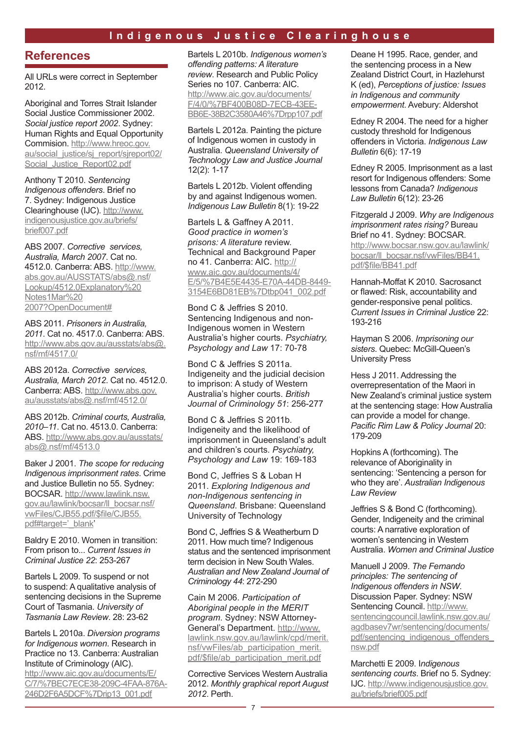## **References**

All URLs were correct in September 2012.

Aboriginal and Torres Strait Islander Social Justice Commissioner 2002. *Social justice report 2002*. Sydney: Human Rights and Equal Opportunity Commision. [http://www.hreoc.gov.](http://www.hreoc.gov.au/social_justice/sj_report/sjreport02/Social_Justice_Report02.pdf) au/social justice/sj report/sjreport02/ [Social\\_Justice\\_Report02.pdf](http://www.hreoc.gov.au/social_justice/sj_report/sjreport02/Social_Justice_Report02.pdf)

Anthony T 2010. *Sentencing Indigenous offenders*. Brief no 7. Sydney: Indigenous Justice Clearinghouse (IJC). [http://www.](http://www.indigenousjustice.gov.au/briefs/brief007.pdf) [indigenousjustice.gov.au/briefs/](http://www.indigenousjustice.gov.au/briefs/brief007.pdf) [brief007.pdf](http://www.indigenousjustice.gov.au/briefs/brief007.pdf)

ABS 2007. *Corrective services, Australia, March 2007*. Cat no. 4512.0. Canberra: ABS. [http://www.](http://www.abs.gov.au/AUSSTATS/abs@.nsf/Lookup/4512.0Explanatory Notes1Mar 2007?OpenDocument) [abs.gov.au/AUSSTATS/abs@.nsf/](http://www.abs.gov.au/AUSSTATS/abs@.nsf/Lookup/4512.0Explanatory Notes1Mar 2007?OpenDocument) [Lookup/4512.0Explanatory%20](http://www.abs.gov.au/AUSSTATS/abs@.nsf/Lookup/4512.0Explanatory Notes1Mar 2007?OpenDocument) [Notes1Mar%20](http://www.abs.gov.au/AUSSTATS/abs@.nsf/Lookup/4512.0Explanatory Notes1Mar 2007?OpenDocument) [2007?OpenDocument#](http://www.abs.gov.au/AUSSTATS/abs@.nsf/Lookup/4512.0Explanatory Notes1Mar 2007?OpenDocument)

ABS 2011. *Prisoners in Australia, 2011*. Cat no. 4517.0. Canberra: ABS. [http://www.abs.gov.au/ausstats/abs@.](http://www.abs.gov.au/ausstats/abs@.nsf/mf/4517.0/) [nsf/mf/4517.0/](http://www.abs.gov.au/ausstats/abs@.nsf/mf/4517.0/)

ABS 2012a. *Corrective services, Australia, March 2012*. Cat no. 4512.0. Canberra: ABS. [http://www.abs.gov.](http://www.abs.gov.au/ausstats/abs@.nsf/mf/4512.0/) [au/ausstats/abs@.nsf/mf/4512.0/](http://www.abs.gov.au/ausstats/abs@.nsf/mf/4512.0/)

ABS 2012b. *Criminal courts, Australia, 2010–11*. Cat no. 4513.0. Canberra: ABS. [http://www.abs.gov.au/ausstats/](http://www.abs.gov.au/ausstats/abs@.nsf/mf/4513.0) [abs@.nsf/mf/4513.0](http://www.abs.gov.au/ausstats/abs@.nsf/mf/4513.0)

Baker J 2001. *The scope for reducing Indigenous imprisonment rates*. Crime and Justice Bulletin no 55. Sydney: BOCSAR. [http://www.lawlink.nsw.](http://www.lawlink.nsw.gov.au/lawlink/bocsar/ll_bocsar.nsf/vwFiles/CJB55.pdf/$file/CJB55.pdf#target=) [gov.au/lawlink/bocsar/ll\\_bocsar.nsf/](http://www.lawlink.nsw.gov.au/lawlink/bocsar/ll_bocsar.nsf/vwFiles/CJB55.pdf/$file/CJB55.pdf#target=) [vwFiles/CJB55.pdf/\\$file/CJB55.](http://www.lawlink.nsw.gov.au/lawlink/bocsar/ll_bocsar.nsf/vwFiles/CJB55.pdf/$file/CJB55.pdf#target=) [pdf#target='\\_blank](http://www.lawlink.nsw.gov.au/lawlink/bocsar/ll_bocsar.nsf/vwFiles/CJB55.pdf/$file/CJB55.pdf#target=)'

Baldry E 2010. Women in transition: From prison to... *Current Issues in Criminal Justice 22*: 253-267

Bartels L 2009. To suspend or not to suspend: A qualitative analysis of sentencing decisions in the Supreme Court of Tasmania. *University of Tasmania Law Review*. 28: 23-62

Bartels L 2010a. *Diversion programs for Indigenous women*. Research in Practice no 13. Canberra: Australian Institute of Criminology (AIC). [http://www.aic.gov.au/documents/E/](http://www.aic.gov.au/documents/E/C/7/%7BEC7ECE38-209C-4FAA-876A-246D2F6A5DCF%7Drip13_001.pdf) [C/7/%7BEC7ECE38-209C-4FAA-876A-](http://www.aic.gov.au/documents/E/C/7/%7BEC7ECE38-209C-4FAA-876A-246D2F6A5DCF%7Drip13_001.pdf)[246D2F6A5DCF%7Drip13\\_001.pdf](http://www.aic.gov.au/documents/E/C/7/%7BEC7ECE38-209C-4FAA-876A-246D2F6A5DCF%7Drip13_001.pdf)

Bartels L 2010b. *Indigenous women's offending patterns: A literature review*. Research and Public Policy Series no 107. Canberra: AIC. [http://www.aic.gov.au/documents/](http://www.aic.gov.au/documents/F/4/0/%7BF400B08D-7ECB-43EE-BB6E-38B2C3580A46%7Drpp107.pdf) [F/4/0/%7BF400B08D-7ECB-43EE-](http://www.aic.gov.au/documents/F/4/0/%7BF400B08D-7ECB-43EE-BB6E-38B2C3580A46%7Drpp107.pdf)[BB6E-38B2C3580A46%7Drpp107.pdf](http://www.aic.gov.au/documents/F/4/0/%7BF400B08D-7ECB-43EE-BB6E-38B2C3580A46%7Drpp107.pdf)

Bartels L 2012a. Painting the picture of Indigenous women in custody in Australia. *Queensland University of Technology Law and Justice Journal*  12(2): 1-17

Bartels L 2012b. Violent offending by and against Indigenous women. *Indigenous Law Bulletin* 8(1): 19-22

Bartels L & Gaffney A 2011. *Good practice in women's prisons: A literature* review. Technical and Background Paper no 41. Canberra: AIC. [http://](http://www.aic.gov.au/documents/4/E/5/%7B4E5E4435-E70A-44DB-8449-3154E6BD81EB%7Dtbp041_002.pdf) [www.aic.gov.au/documents/4/](http://www.aic.gov.au/documents/4/E/5/%7B4E5E4435-E70A-44DB-8449-3154E6BD81EB%7Dtbp041_002.pdf) [E/5/%7B4E5E4435-E70A-44DB-8449-](http://www.aic.gov.au/documents/4/E/5/%7B4E5E4435-E70A-44DB-8449-3154E6BD81EB%7Dtbp041_002.pdf) [3154E6BD81EB%7Dtbp041\\_002.pdf](http://www.aic.gov.au/documents/4/E/5/%7B4E5E4435-E70A-44DB-8449-3154E6BD81EB%7Dtbp041_002.pdf)

Bond C & Jeffries S 2010. Sentencing Indigenous and non-Indigenous women in Western Australia's higher courts. *Psychiatry, Psychology and Law* 17: 70-78

Bond C & Jeffries S 2011a. Indigeneity and the judicial decision to imprison: A study of Western Australia's higher courts. *British Journal of Criminology 51*: 256-277

Bond C & Jeffries S 2011b. Indigeneity and the likelihood of imprisonment in Queensland's adult and children's courts. *Psychiatry, Psychology and Law* 19: 169-183

Bond C, Jeffries S & Loban H 2011. *Exploring Indigenous and non-Indigenous sentencing in Queensland*. Brisbane: Queensland University of Technology

Bond C, Jeffries S & Weatherburn D 2011. How much time? Indigenous status and the sentenced imprisonment term decision in New South Wales. *Australian and New Zealand Journal of Criminology 44*: 272-290

Cain M 2006. *Participation of Aboriginal people in the MERIT program*. Sydney: NSW Attorney-General's Department. [http://www.](http://www.lawlink.nsw.gov.au/lawlink/cpd/merit.nsf/vwFiles/ab_participation_merit.pdf/$file/ab_participation_merit.pdf) [lawlink.nsw.gov.au/lawlink/cpd/merit.](http://www.lawlink.nsw.gov.au/lawlink/cpd/merit.nsf/vwFiles/ab_participation_merit.pdf/$file/ab_participation_merit.pdf) [nsf/vwFiles/ab\\_participation\\_merit.](http://www.lawlink.nsw.gov.au/lawlink/cpd/merit.nsf/vwFiles/ab_participation_merit.pdf/$file/ab_participation_merit.pdf) [pdf/\\$file/ab\\_participation\\_merit.pdf](http://www.lawlink.nsw.gov.au/lawlink/cpd/merit.nsf/vwFiles/ab_participation_merit.pdf/$file/ab_participation_merit.pdf)

Corrective Services Western Australia 2012. *Monthly graphical report August 2012*. Perth.

Deane H 1995. Race, gender, and the sentencing process in a New Zealand District Court, in Hazlehurst K (ed), *Perceptions of justice: Issues in Indigenous and community empowerment*. Avebury: Aldershot

Edney R 2004. The need for a higher custody threshold for Indigenous offenders in Victoria. *Indigenous Law Bulletin* 6(6): 17-19

Edney R 2005. Imprisonment as a last resort for Indigenous offenders: Some lessons from Canada? *Indigenous Law Bulletin* 6(12): 23-26

Fitzgerald J 2009. *Why are Indigenous imprisonment rates rising?* Bureau Brief no 41. Sydney: BOCSAR. [http://www.bocsar.nsw.gov.au/lawlink/](http://www.bocsar.nsw.gov.au/lawlink/bocsar/ll_bocsar.nsf/vwFiles/BB41.pdf/$file/BB41.pdf) [bocsar/ll\\_bocsar.nsf/vwFiles/BB41.](http://www.bocsar.nsw.gov.au/lawlink/bocsar/ll_bocsar.nsf/vwFiles/BB41.pdf/$file/BB41.pdf) [pdf/\\$file/BB41.pdf](http://www.bocsar.nsw.gov.au/lawlink/bocsar/ll_bocsar.nsf/vwFiles/BB41.pdf/$file/BB41.pdf)

Hannah-Moffat K 2010. Sacrosanct or flawed: Risk, accountability and gender-responsive penal politics. *Current Issues in Criminal Justice* 22: 193-216

Hayman S 2006. *Imprisoning our sisters*. Quebec: McGill-Queen's University Press

Hess J 2011. [Addressing the](http://digital.law.washington.edu/dspace-law/handle/1773.1/487)  [overrepresentation of the Maori in](http://digital.law.washington.edu/dspace-law/handle/1773.1/487)  [New Zealand's criminal justice system](http://digital.law.washington.edu/dspace-law/handle/1773.1/487)  [at the sentencing stage: How Australia](http://digital.law.washington.edu/dspace-law/handle/1773.1/487)  [can provide a model for change.](http://digital.law.washington.edu/dspace-law/handle/1773.1/487) *Pacific Rim Law & Policy Journal* 20: 179-209

Hopkins A (forthcoming). The relevance of Aboriginality in sentencing: 'Sentencing a person for who they are'. *Australian Indigenous Law Review*

Jeffries S & Bond C (forthcoming). Gender, Indigeneity and the criminal courts: A narrative exploration of women's sentencing in Western Australia. *Women and Criminal Justice*

Manuell J 2009. *The Fernando principles: The sentencing of Indigenous offenders in NSW*. Discussion Paper. Sydney: NSW Sentencing Council. [http://www.](http://www.sentencingcouncil.lawlink.nsw.gov.au/agdbasev7wr/sentencing/documents/pdf/sentencing_indigenous_offenders_nsw.pdf) [sentencingcouncil.lawlink.nsw.gov.au/](http://www.sentencingcouncil.lawlink.nsw.gov.au/agdbasev7wr/sentencing/documents/pdf/sentencing_indigenous_offenders_nsw.pdf) [agdbasev7wr/sentencing/documents/](http://www.sentencingcouncil.lawlink.nsw.gov.au/agdbasev7wr/sentencing/documents/pdf/sentencing_indigenous_offenders_nsw.pdf) pdf/sentencing\_indigenous\_offenders [nsw.pdf](http://www.sentencingcouncil.lawlink.nsw.gov.au/agdbasev7wr/sentencing/documents/pdf/sentencing_indigenous_offenders_nsw.pdf)

Marchetti E 2009. I*ndigenous sentencing courts*. Brief no 5. Sydney: IJC. [http://www.indigenousjustice.gov.](http://www.indigenousjustice.gov.au/briefs/brief005.pdf) [au/briefs/brief005.pdf](http://www.indigenousjustice.gov.au/briefs/brief005.pdf)